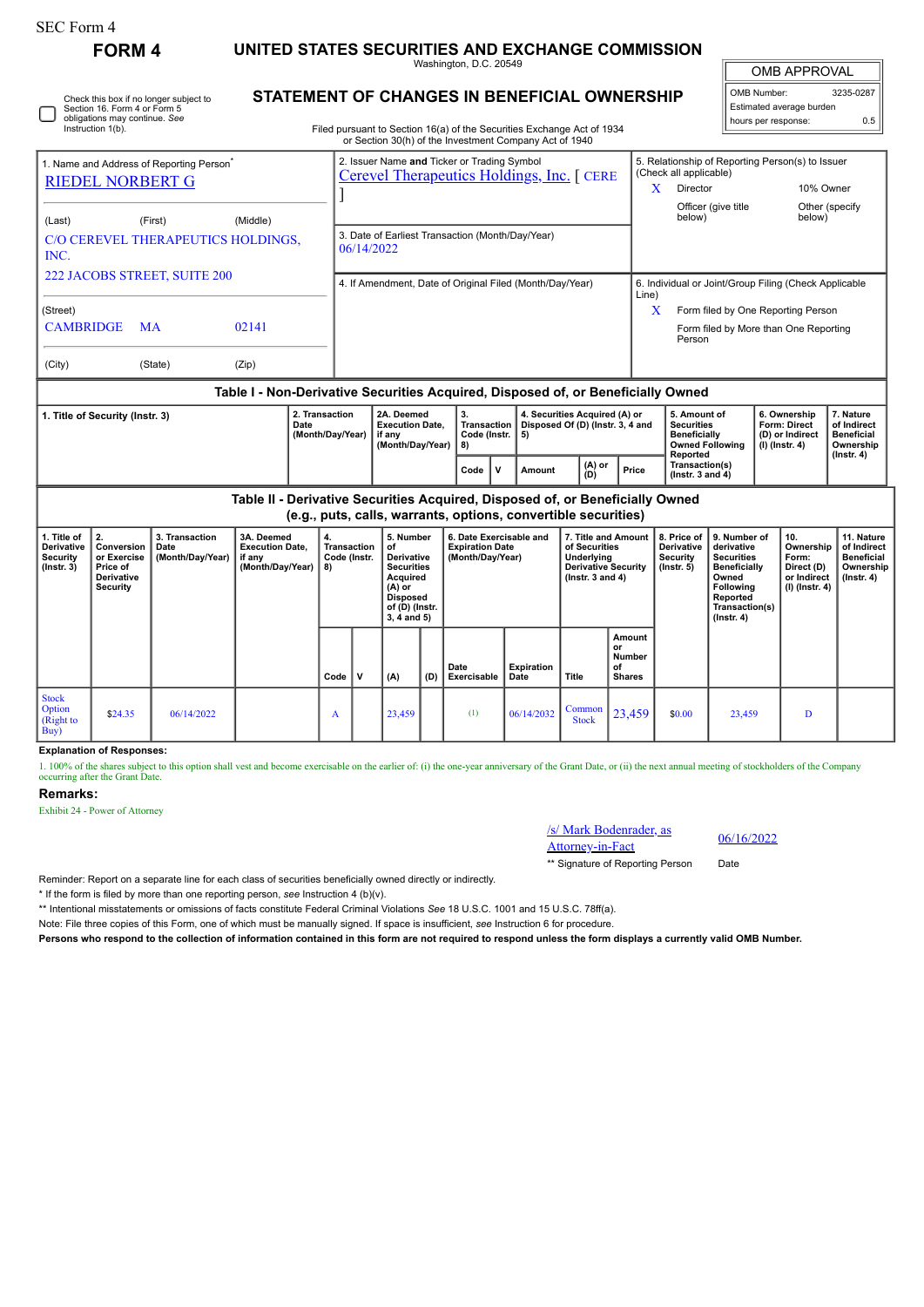Check this box if no longer subject to Section 16. Form 4 or Form 5 obligations may continue. *See* Instruction 1(b).

# **FORM 4 UNITED STATES SECURITIES AND EXCHANGE COMMISSION**

Washington, D.C. 20549

**STATEMENT OF CHANGES IN BENEFICIAL OWNERSHIP**

| PROV.<br>/AI<br>MB APPI |
|-------------------------|
|                         |

| OMB Number:<br>3235-0287 |     |  |  |  |  |  |  |  |
|--------------------------|-----|--|--|--|--|--|--|--|
| Estimated average burden |     |  |  |  |  |  |  |  |
| hours per response:      | 0.5 |  |  |  |  |  |  |  |

| Filed pursuant to Section 16(a) of the Securities Exchange Act of 1934 |
|------------------------------------------------------------------------|
| or Section 30(h) of the Investment Company Act of 1940                 |

| OF SECTION SOUTH OF THE INVESTMENT COMPANY ACT OF 1940 |                                                   |          |                                                                                                  |                                                                            |                                                       |                           |  |  |  |  |
|--------------------------------------------------------|---------------------------------------------------|----------|--------------------------------------------------------------------------------------------------|----------------------------------------------------------------------------|-------------------------------------------------------|---------------------------|--|--|--|--|
|                                                        | Name and Address of Reporting Person <sup>®</sup> |          | 2. Issuer Name and Ticker or Trading Symbol<br><b>Cerevel Therapeutics Holdings, Inc.</b> [ CERE | 5. Relationship of Reporting Person(s) to Issuer<br>(Check all applicable) |                                                       |                           |  |  |  |  |
| <b>RIEDEL NORBERT G</b>                                |                                                   |          |                                                                                                  | x                                                                          | <b>Director</b>                                       | 10% Owner                 |  |  |  |  |
| (Last)                                                 | (First)                                           | (Middle) |                                                                                                  |                                                                            | Officer (give title<br>below)                         | Other (specify)<br>below) |  |  |  |  |
| INC.                                                   | C/O CEREVEL THERAPEUTICS HOLDINGS.                |          | 3. Date of Earliest Transaction (Month/Day/Year)<br>06/14/2022                                   |                                                                            |                                                       |                           |  |  |  |  |
| 222 JACOBS STREET, SUITE 200                           |                                                   |          | 4. If Amendment, Date of Original Filed (Month/Day/Year)                                         | Line)                                                                      | 6. Individual or Joint/Group Filing (Check Applicable |                           |  |  |  |  |
| (Street)                                               |                                                   |          |                                                                                                  | X                                                                          | Form filed by One Reporting Person                    |                           |  |  |  |  |
| <b>CAMBRIDGE</b>                                       | <b>MA</b>                                         | 02141    |                                                                                                  |                                                                            | Form filed by More than One Reporting<br>Person       |                           |  |  |  |  |
| (City)                                                 | (State)                                           | (Zip)    |                                                                                                  |                                                                            |                                                       |                           |  |  |  |  |

### **Table I - Non-Derivative Securities Acquired, Disposed of, or Beneficially Owned**

| Title of Security (Instr. 3) | 2A. Deemed<br>2. Transaction<br>Date<br>(Month/Dav/Year)<br>if anv |  | <b>Execution Date.</b><br>Code (Instr.   5)<br>(Month/Dav/Year)<br>I 8) |  |        | 4. Securities Acquired (A) or<br>Transaction   Disposed Of (D) (Instr. 3, 4 and |       |                                                    | 6. Ownership<br><b>Form: Direct</b><br>(D) or Indirect<br>  (I) (Instr. 4) | . Nature<br>of Indirect<br><b>Beneficial</b><br>Ownership |
|------------------------------|--------------------------------------------------------------------|--|-------------------------------------------------------------------------|--|--------|---------------------------------------------------------------------------------|-------|----------------------------------------------------|----------------------------------------------------------------------------|-----------------------------------------------------------|
|                              |                                                                    |  | Code                                                                    |  | Amount | (A) or<br>(D)                                                                   | Price | Reported<br>Transaction(s)<br>( $Instr. 3 and 4$ ) |                                                                            | $($ lnstr $, 4)$                                          |

**Table II - Derivative Securities Acquired, Disposed of, or Beneficially Owned (e.g., puts, calls, warrants, options, convertible securities)**

| 1. Title of<br><b>Derivative</b><br><b>Security</b><br>$($ Instr. 3 $)$ | Conversion<br>or Exercise<br>Price of<br>Derivative<br><b>Security</b> | 3. Transaction<br>Date<br>(Month/Day/Year) | 3A. Deemed<br><b>Execution Date,</b><br>if any<br>(Month/Day/Year) | 4.<br>Transaction<br>Code (Instr.<br>  8) |             | 5. Number<br>of<br><b>Derivative</b><br><b>Securities</b><br>Acquired<br>$(A)$ or<br><b>Disposed</b><br>of (D) (Instr.<br>$3, 4$ and $5)$ |     | 6. Date Exercisable and<br><b>Expiration Date</b><br>(Month/Day/Year) |                    | 7. Title and Amount<br>of Securities<br>Underlying<br><b>Derivative Security</b><br>( $lnstr. 3 and 4$ ) |                                                      | 8. Price of<br><b>Derivative</b><br><b>Security</b><br>$($ lnstr. 5 $)$ | 9. Number of<br>derivative<br><b>Securities</b><br>Beneficially<br>Owned<br>Following<br>Reported<br>Transaction(s)<br>$($ Instr. 4 $)$ | 10.<br>Ownership<br>Form:<br>Direct (D)<br>or Indirect<br>(I) (Instr. 4) | 11. Nature<br>of Indirect<br><b>Beneficial</b><br>Ownership<br>(Instr. 4) |
|-------------------------------------------------------------------------|------------------------------------------------------------------------|--------------------------------------------|--------------------------------------------------------------------|-------------------------------------------|-------------|-------------------------------------------------------------------------------------------------------------------------------------------|-----|-----------------------------------------------------------------------|--------------------|----------------------------------------------------------------------------------------------------------|------------------------------------------------------|-------------------------------------------------------------------------|-----------------------------------------------------------------------------------------------------------------------------------------|--------------------------------------------------------------------------|---------------------------------------------------------------------------|
|                                                                         |                                                                        |                                            |                                                                    | Code                                      | $\mathbf v$ | (A)                                                                                                                                       | (D) | Date<br>Exercisable                                                   | Expiration<br>Date | Title                                                                                                    | Amount<br>or<br><b>Number</b><br>οf<br><b>Shares</b> |                                                                         |                                                                                                                                         |                                                                          |                                                                           |
| <b>Stock</b><br><b>Option</b><br>(Right to<br>Buy)                      | \$24.35                                                                | 06/14/2022                                 |                                                                    | A                                         |             | 23,459                                                                                                                                    |     | (1)                                                                   | 06/14/2032         | Common<br><b>Stock</b>                                                                                   | 23,459                                               | \$0.00                                                                  | 23,459                                                                                                                                  | D                                                                        |                                                                           |

## **Explanation of Responses:**

1. 100% of the shares subject to this option shall vest and become exercisable on the earlier of: (i) the one-year anniversary of the Grant Date, or (ii) the next annual meeting of stockholders of the Company occurring after the Grant Date.

## **Remarks:**

Exhibit 24 - Power of Attorney



\*\* Signature of Reporting Person Date

Reminder: Report on a separate line for each class of securities beneficially owned directly or indirectly.

\* If the form is filed by more than one reporting person, *see* Instruction 4 (b)(v).

\*\* Intentional misstatements or omissions of facts constitute Federal Criminal Violations *See* 18 U.S.C. 1001 and 15 U.S.C. 78ff(a).

Note: File three copies of this Form, one of which must be manually signed. If space is insufficient, *see* Instruction 6 for procedure.

**Persons who respond to the collection of information contained in this form are not required to respond unless the form displays a currently valid OMB Number.**